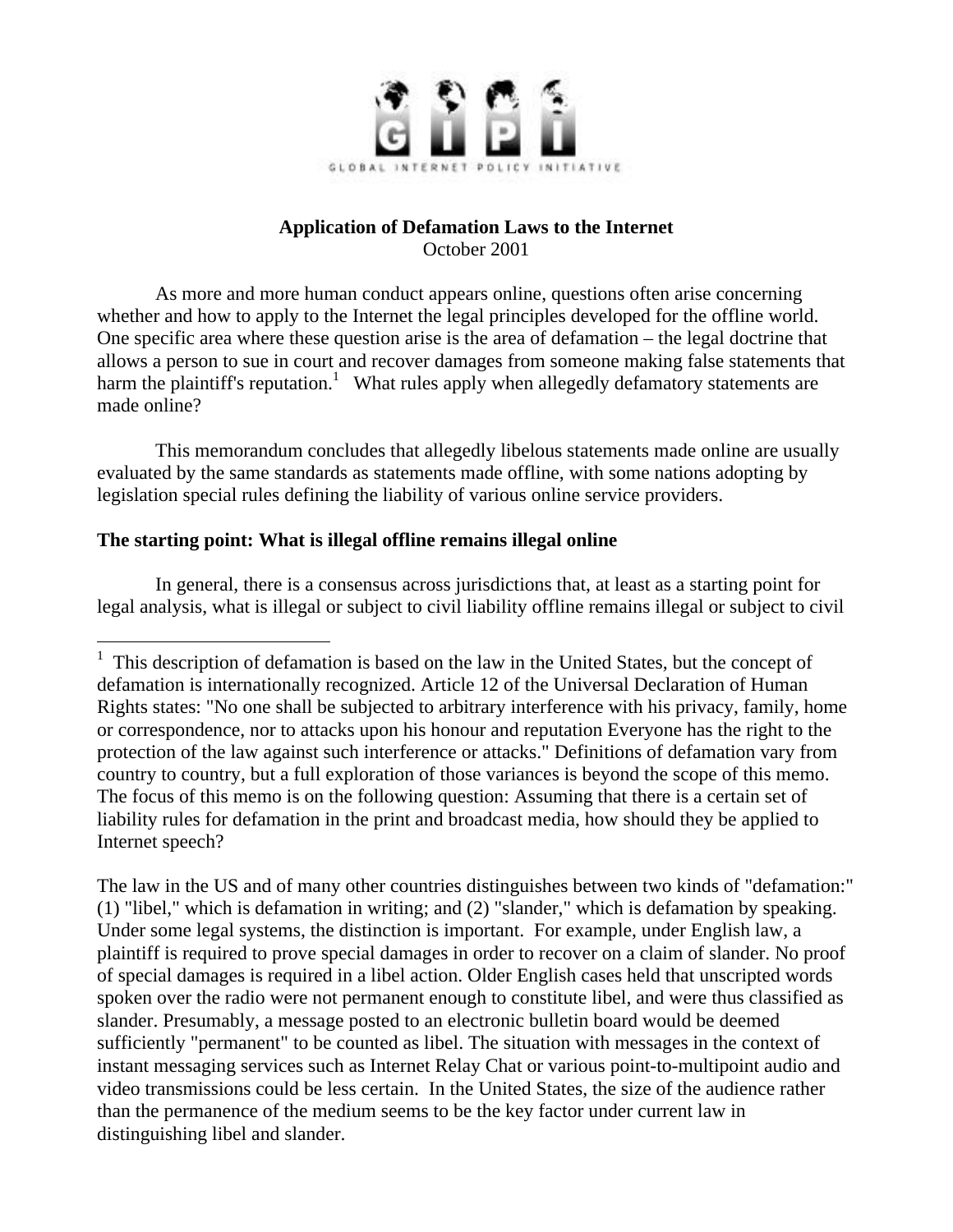

# **Application of Defamation Laws to the Internet** October 2001

As more and more human conduct appears online, questions often arise concerning whether and how to apply to the Internet the legal principles developed for the offline world. One specific area where these question arise is the area of defamation – the legal doctrine that allows a person to sue in court and recover damages from someone making false statements that harm the plaintiff's reputation.<sup>1</sup> What rules apply when allegedly defamatory statements are made online?

This memorandum concludes that allegedly libelous statements made online are usually evaluated by the same standards as statements made offline, with some nations adopting by legislation special rules defining the liability of various online service providers.

# **The starting point: What is illegal offline remains illegal online**

In general, there is a consensus across jurisdictions that, at least as a starting point for legal analysis, what is illegal or subject to civil liability offline remains illegal or subject to civil

The law in the US and of many other countries distinguishes between two kinds of "defamation:" (1) "libel," which is defamation in writing; and (2) "slander," which is defamation by speaking. Under some legal systems, the distinction is important. For example, under English law, a plaintiff is required to prove special damages in order to recover on a claim of slander. No proof of special damages is required in a libel action. Older English cases held that unscripted words spoken over the radio were not permanent enough to constitute libel, and were thus classified as slander. Presumably, a message posted to an electronic bulletin board would be deemed sufficiently "permanent" to be counted as libel. The situation with messages in the context of instant messaging services such as Internet Relay Chat or various point-to-multipoint audio and video transmissions could be less certain. In the United States, the size of the audience rather than the permanence of the medium seems to be the key factor under current law in distinguishing libel and slander.

 $<sup>1</sup>$  This description of defamation is based on the law in the United States, but the concept of</sup> defamation is internationally recognized. Article 12 of the Universal Declaration of Human Rights states: "No one shall be subjected to arbitrary interference with his privacy, family, home or correspondence, nor to attacks upon his honour and reputation Everyone has the right to the protection of the law against such interference or attacks." Definitions of defamation vary from country to country, but a full exploration of those variances is beyond the scope of this memo. The focus of this memo is on the following question: Assuming that there is a certain set of liability rules for defamation in the print and broadcast media, how should they be applied to Internet speech?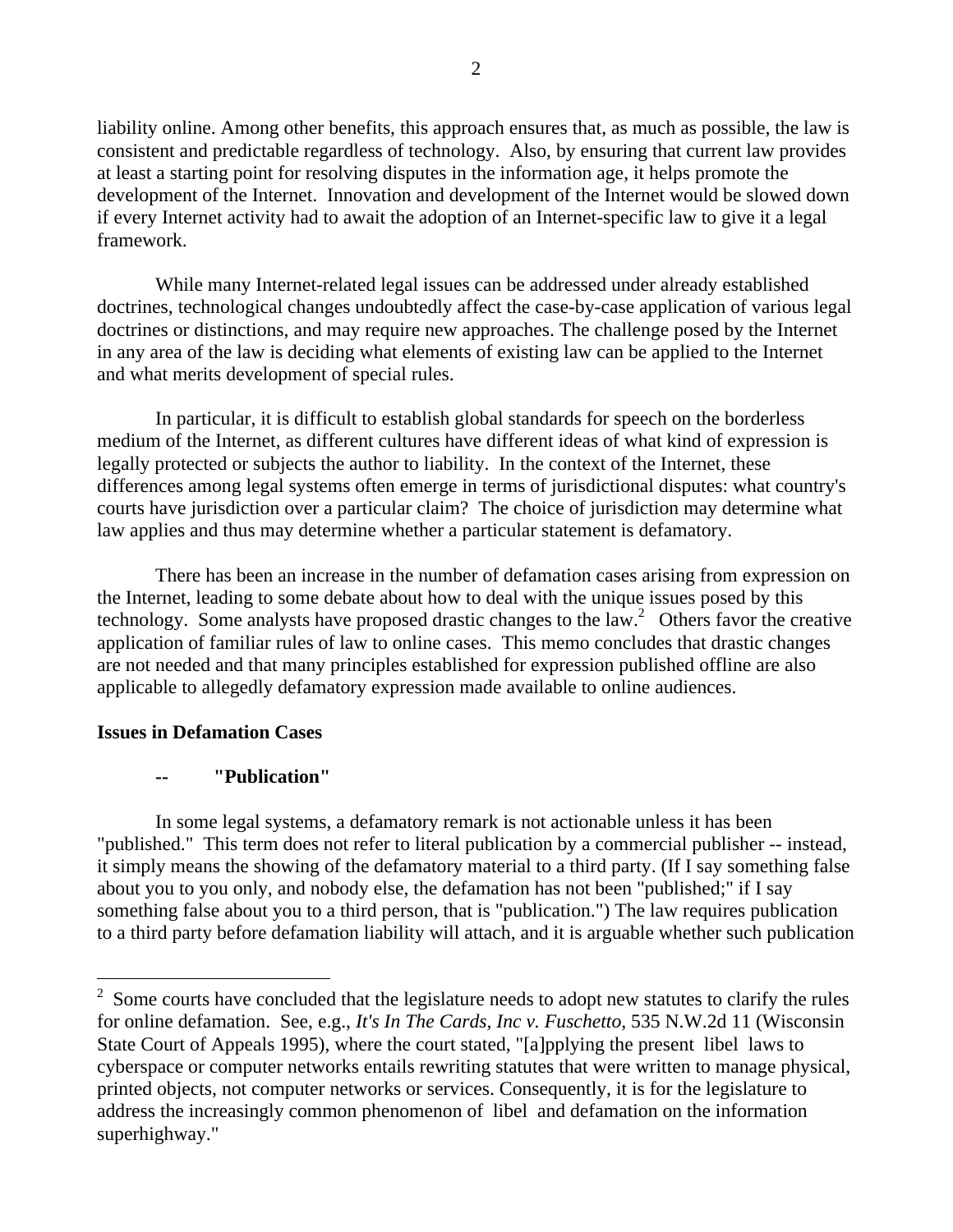liability online. Among other benefits, this approach ensures that, as much as possible, the law is consistent and predictable regardless of technology. Also, by ensuring that current law provides at least a starting point for resolving disputes in the information age, it helps promote the development of the Internet. Innovation and development of the Internet would be slowed down if every Internet activity had to await the adoption of an Internet-specific law to give it a legal framework.

While many Internet-related legal issues can be addressed under already established doctrines, technological changes undoubtedly affect the case-by-case application of various legal doctrines or distinctions, and may require new approaches. The challenge posed by the Internet in any area of the law is deciding what elements of existing law can be applied to the Internet and what merits development of special rules.

In particular, it is difficult to establish global standards for speech on the borderless medium of the Internet, as different cultures have different ideas of what kind of expression is legally protected or subjects the author to liability. In the context of the Internet, these differences among legal systems often emerge in terms of jurisdictional disputes: what country's courts have jurisdiction over a particular claim? The choice of jurisdiction may determine what law applies and thus may determine whether a particular statement is defamatory.

There has been an increase in the number of defamation cases arising from expression on the Internet, leading to some debate about how to deal with the unique issues posed by this technology. Some analysts have proposed drastic changes to the law.<sup>2</sup> Others favor the creative application of familiar rules of law to online cases. This memo concludes that drastic changes are not needed and that many principles established for expression published offline are also applicable to allegedly defamatory expression made available to online audiences.

### **Issues in Defamation Cases**

 $\overline{a}$ 

### **-- "Publication"**

In some legal systems, a defamatory remark is not actionable unless it has been "published." This term does not refer to literal publication by a commercial publisher -- instead, it simply means the showing of the defamatory material to a third party. (If I say something false about you to you only, and nobody else, the defamation has not been "published;" if I say something false about you to a third person, that is "publication.") The law requires publication to a third party before defamation liability will attach, and it is arguable whether such publication

 $2\degree$  Some courts have concluded that the legislature needs to adopt new statutes to clarify the rules for online defamation. See, e.g., *It's In The Cards, Inc v. Fuschetto*, 535 N.W.2d 11 (Wisconsin State Court of Appeals 1995), where the court stated, "[a]pplying the present libel laws to cyberspace or computer networks entails rewriting statutes that were written to manage physical, printed objects, not computer networks or services. Consequently, it is for the legislature to address the increasingly common phenomenon of libel and defamation on the information superhighway."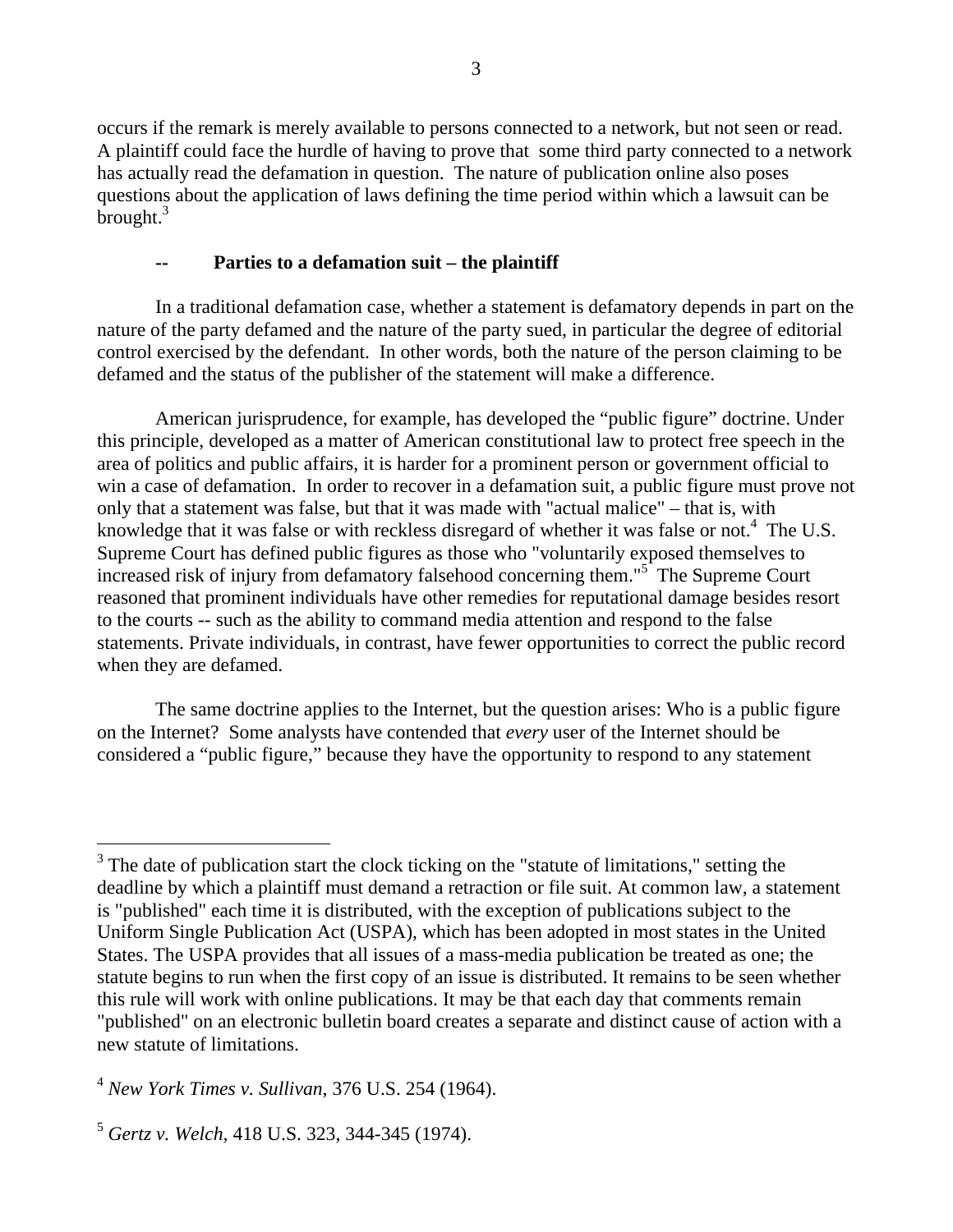occurs if the remark is merely available to persons connected to a network, but not seen or read. A plaintiff could face the hurdle of having to prove that some third party connected to a network has actually read the defamation in question. The nature of publication online also poses questions about the application of laws defining the time period within which a lawsuit can be brought.<sup>3</sup>

## Parties to a defamation suit – the plaintiff

In a traditional defamation case, whether a statement is defamatory depends in part on the nature of the party defamed and the nature of the party sued, in particular the degree of editorial control exercised by the defendant. In other words, both the nature of the person claiming to be defamed and the status of the publisher of the statement will make a difference.

American jurisprudence, for example, has developed the "public figure" doctrine. Under this principle, developed as a matter of American constitutional law to protect free speech in the area of politics and public affairs, it is harder for a prominent person or government official to win a case of defamation. In order to recover in a defamation suit, a public figure must prove not only that a statement was false, but that it was made with "actual malice" – that is, with knowledge that it was false or with reckless disregard of whether it was false or not.<sup>4</sup> The U.S. Supreme Court has defined public figures as those who "voluntarily exposed themselves to increased risk of injury from defamatory falsehood concerning them."<sup>5</sup> The Supreme Court reasoned that prominent individuals have other remedies for reputational damage besides resort to the courts -- such as the ability to command media attention and respond to the false statements. Private individuals, in contrast, have fewer opportunities to correct the public record when they are defamed.

The same doctrine applies to the Internet, but the question arises: Who is a public figure on the Internet? Some analysts have contended that *every* user of the Internet should be considered a "public figure," because they have the opportunity to respond to any statement

 $\overline{a}$ 

 $3$  The date of publication start the clock ticking on the "statute of limitations," setting the deadline by which a plaintiff must demand a retraction or file suit. At common law, a statement is "published" each time it is distributed, with the exception of publications subject to the Uniform Single Publication Act (USPA), which has been adopted in most states in the United States. The USPA provides that all issues of a mass-media publication be treated as one; the statute begins to run when the first copy of an issue is distributed. It remains to be seen whether this rule will work with online publications. It may be that each day that comments remain "published" on an electronic bulletin board creates a separate and distinct cause of action with a new statute of limitations.

<sup>4</sup> *New York Times v. Sullivan*, 376 U.S. 254 (1964).

<sup>5</sup> *Gertz v. Welch,* 418 U.S. 323, 344-345 (1974).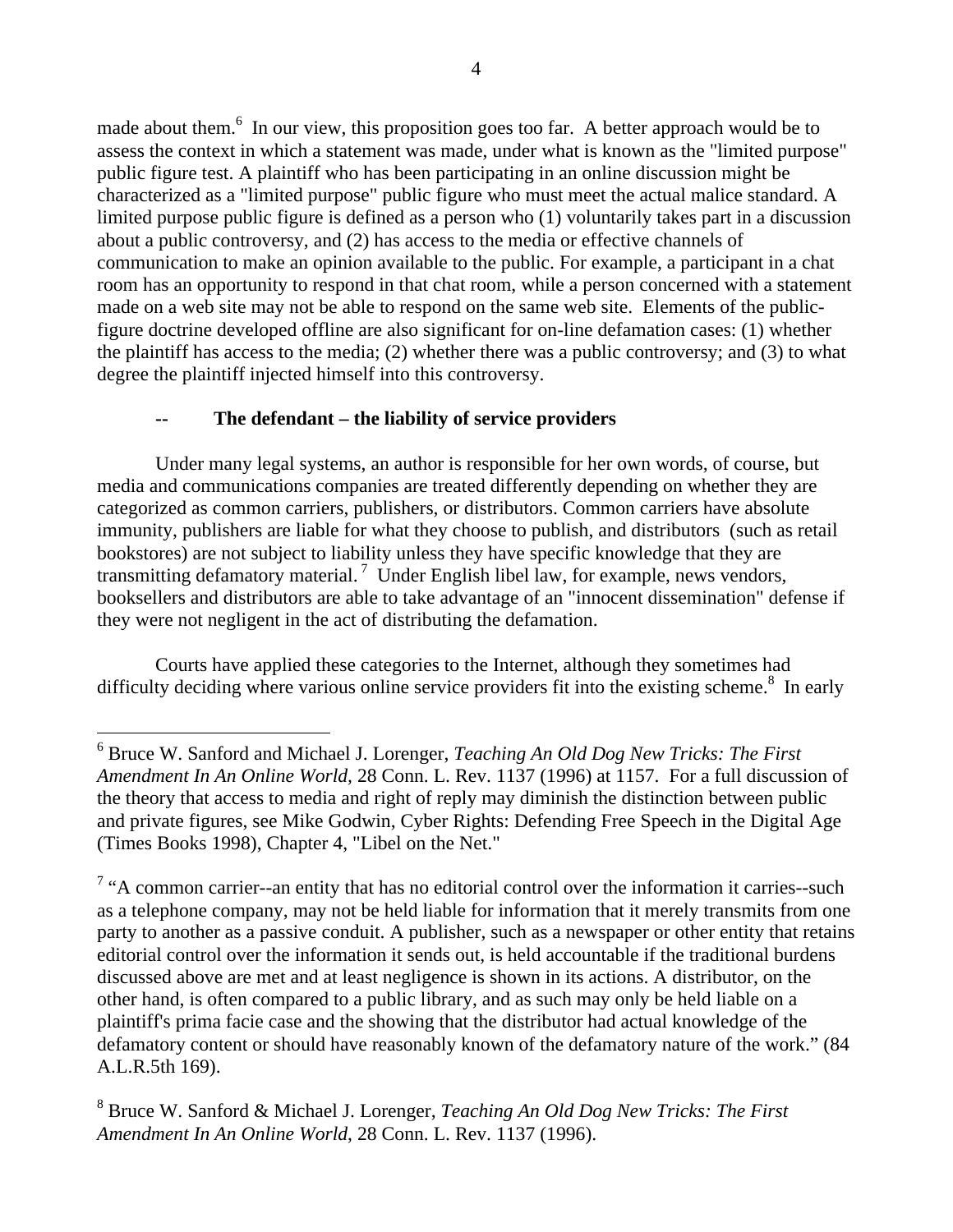made about them.<sup>6</sup> In our view, this proposition goes too far. A better approach would be to assess the context in which a statement was made, under what is known as the "limited purpose" public figure test. A plaintiff who has been participating in an online discussion might be characterized as a "limited purpose" public figure who must meet the actual malice standard. A limited purpose public figure is defined as a person who (1) voluntarily takes part in a discussion about a public controversy, and (2) has access to the media or effective channels of communication to make an opinion available to the public. For example, a participant in a chat room has an opportunity to respond in that chat room, while a person concerned with a statement made on a web site may not be able to respond on the same web site. Elements of the publicfigure doctrine developed offline are also significant for on-line defamation cases: (1) whether the plaintiff has access to the media; (2) whether there was a public controversy; and (3) to what degree the plaintiff injected himself into this controversy.

# The defendant – the liability of service providers

Under many legal systems, an author is responsible for her own words, of course, but media and communications companies are treated differently depending on whether they are categorized as common carriers, publishers, or distributors. Common carriers have absolute immunity, publishers are liable for what they choose to publish, and distributors (such as retail bookstores) are not subject to liability unless they have specific knowledge that they are transmitting defamatory material.<sup>7</sup> Under English libel law, for example, news vendors, booksellers and distributors are able to take advantage of an "innocent dissemination" defense if they were not negligent in the act of distributing the defamation.

Courts have applied these categories to the Internet, although they sometimes had difficulty deciding where various online service providers fit into the existing scheme.<sup>8</sup> In early

<sup>6</sup> Bruce W. Sanford and Michael J. Lorenger, *Teaching An Old Dog New Tricks: The First Amendment In An Online World,* 28 Conn. L. Rev. 1137 (1996) at 1157. For a full discussion of the theory that access to media and right of reply may diminish the distinction between public and private figures, see Mike Godwin, Cyber Rights: Defending Free Speech in the Digital Age (Times Books 1998), Chapter 4, "Libel on the Net."

 $7$  "A common carrier--an entity that has no editorial control over the information it carries--such as a telephone company, may not be held liable for information that it merely transmits from one party to another as a passive conduit. A publisher, such as a newspaper or other entity that retains editorial control over the information it sends out, is held accountable if the traditional burdens discussed above are met and at least negligence is shown in its actions. A distributor, on the other hand, is often compared to a public library, and as such may only be held liable on a plaintiff's prima facie case and the showing that the distributor had actual knowledge of the defamatory content or should have reasonably known of the defamatory nature of the work." (84 A.L.R.5th 169).

<sup>8</sup> Bruce W. Sanford & Michael J. Lorenger, *Teaching An Old Dog New Tricks: The First Amendment In An Online World*, 28 Conn. L. Rev. 1137 (1996).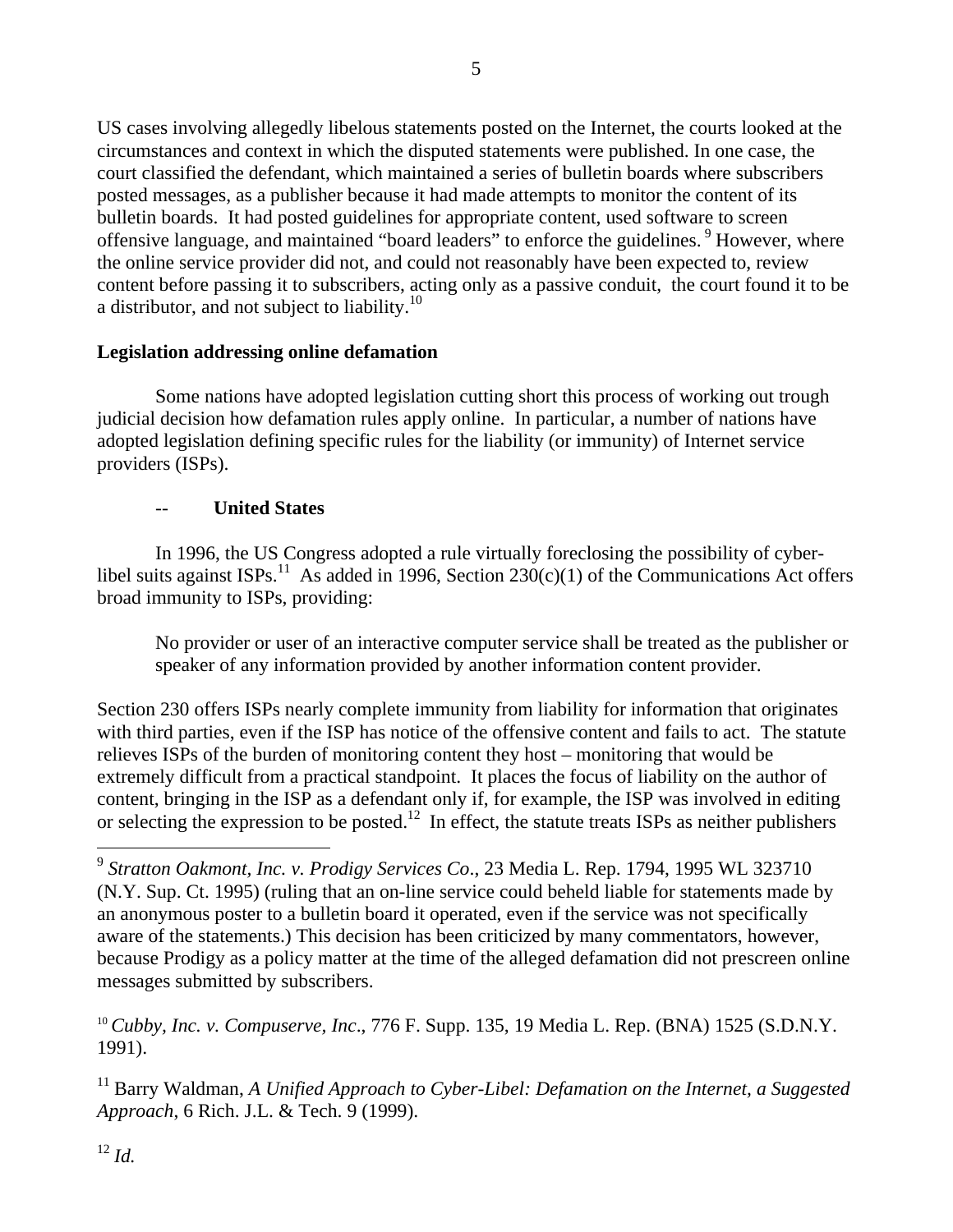US cases involving allegedly libelous statements posted on the Internet, the courts looked at the circumstances and context in which the disputed statements were published. In one case, the court classified the defendant, which maintained a series of bulletin boards where subscribers posted messages, as a publisher because it had made attempts to monitor the content of its bulletin boards. It had posted guidelines for appropriate content, used software to screen offensive language, and maintained "board leaders" to enforce the guidelines. <sup>9</sup> However, where the online service provider did not, and could not reasonably have been expected to, review content before passing it to subscribers, acting only as a passive conduit, the court found it to be a distributor, and not subject to liability.<sup>10</sup>

# **Legislation addressing online defamation**

Some nations have adopted legislation cutting short this process of working out trough judicial decision how defamation rules apply online. In particular, a number of nations have adopted legislation defining specific rules for the liability (or immunity) of Internet service providers (ISPs).

# -- **United States**

In 1996, the US Congress adopted a rule virtually foreclosing the possibility of cyberlibel suits against ISPs.<sup>11</sup> As added in 1996, Section 230(c)(1) of the Communications Act offers broad immunity to ISPs, providing:

No provider or user of an interactive computer service shall be treated as the publisher or speaker of any information provided by another information content provider.

Section 230 offers ISPs nearly complete immunity from liability for information that originates with third parties, even if the ISP has notice of the offensive content and fails to act. The statute relieves ISPs of the burden of monitoring content they host – monitoring that would be extremely difficult from a practical standpoint. It places the focus of liability on the author of content, bringing in the ISP as a defendant only if, for example, the ISP was involved in editing or selecting the expression to be posted.<sup>12</sup> In effect, the statute treats ISPs as neither publishers

<sup>11</sup> Barry Waldman, *A Unified Approach to Cyber-Libel: Defamation on the Internet, a Suggested Approach*, 6 Rich. J.L. & Tech. 9 (1999).

<sup>9</sup> *Stratton Oakmont, Inc. v. Prodigy Services Co*., 23 Media L. Rep. 1794, 1995 WL 323710 (N.Y. Sup. Ct. 1995) (ruling that an on-line service could beheld liable for statements made by an anonymous poster to a bulletin board it operated, even if the service was not specifically aware of the statements.) This decision has been criticized by many commentators, however, because Prodigy as a policy matter at the time of the alleged defamation did not prescreen online messages submitted by subscribers.

<sup>10</sup> *Cubby, Inc. v. Compuserve, Inc*., 776 F. Supp. 135, 19 Media L. Rep. (BNA) 1525 (S.D.N.Y. 1991).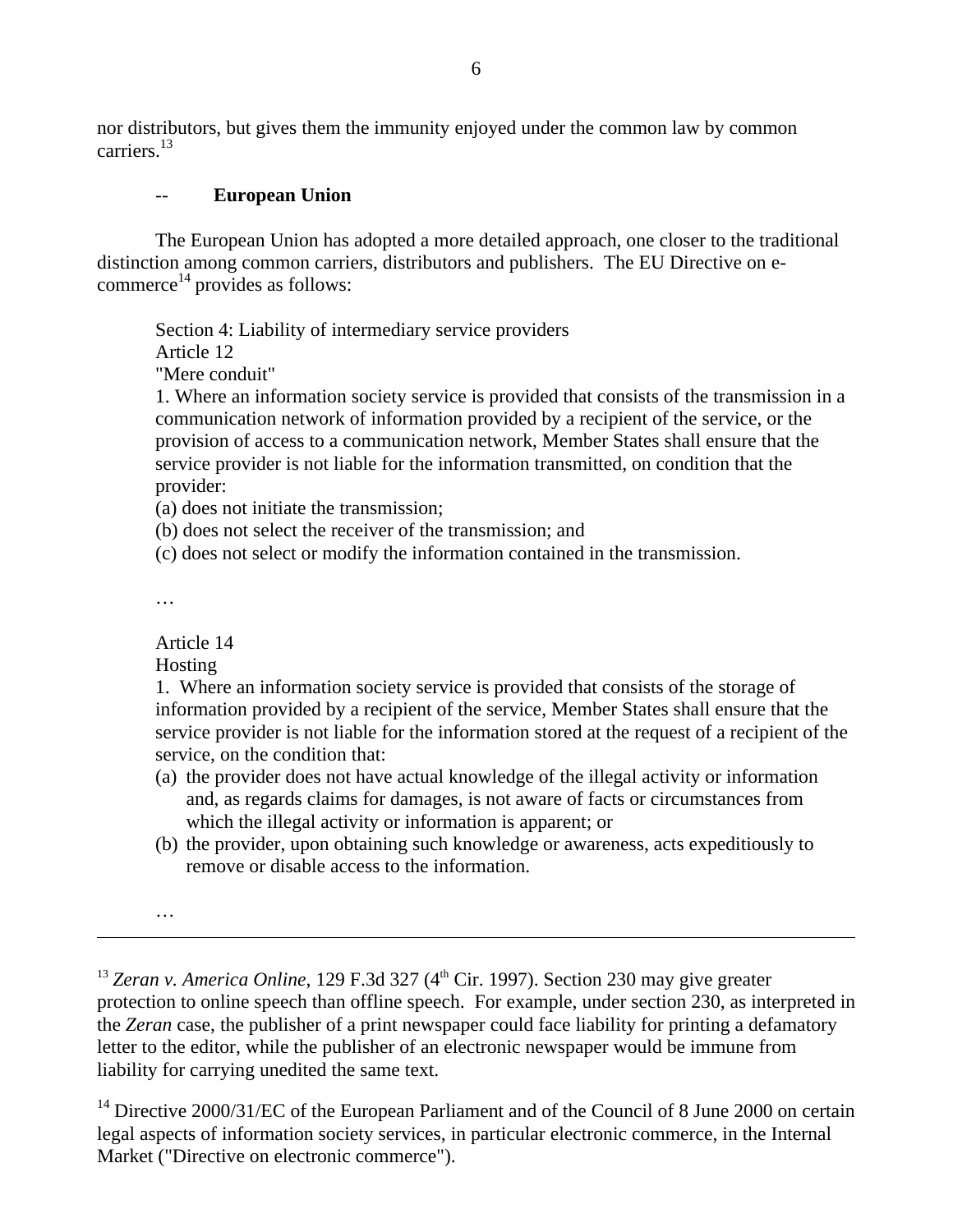nor distributors, but gives them the immunity enjoyed under the common law by common carriers.<sup>13</sup>

## **European Union**

The European Union has adopted a more detailed approach, one closer to the traditional distinction among common carriers, distributors and publishers. The EU Directive on ecommerce<sup>14</sup> provides as follows:

Section 4: Liability of intermediary service providers Article 12 "Mere conduit"

1. Where an information society service is provided that consists of the transmission in a communication network of information provided by a recipient of the service, or the provision of access to a communication network, Member States shall ensure that the service provider is not liable for the information transmitted, on condition that the provider:

(a) does not initiate the transmission;

(b) does not select the receiver of the transmission; and

(c) does not select or modify the information contained in the transmission.

…

Article 14

Hosting

1. Where an information society service is provided that consists of the storage of information provided by a recipient of the service, Member States shall ensure that the service provider is not liable for the information stored at the request of a recipient of the service, on the condition that:

- (a) the provider does not have actual knowledge of the illegal activity or information and, as regards claims for damages, is not aware of facts or circumstances from which the illegal activity or information is apparent; or
- (b) the provider, upon obtaining such knowledge or awareness, acts expeditiously to remove or disable access to the information.

…

 $13$  *Zeran v. America Online*, 129 F.3d 327 ( $4<sup>th</sup>$  Cir. 1997). Section 230 may give greater protection to online speech than offline speech. For example, under section 230, as interpreted in the *Zeran* case, the publisher of a print newspaper could face liability for printing a defamatory letter to the editor, while the publisher of an electronic newspaper would be immune from liability for carrying unedited the same text.

<sup>14</sup> Directive 2000/31/EC of the European Parliament and of the Council of 8 June 2000 on certain legal aspects of information society services, in particular electronic commerce, in the Internal Market ("Directive on electronic commerce").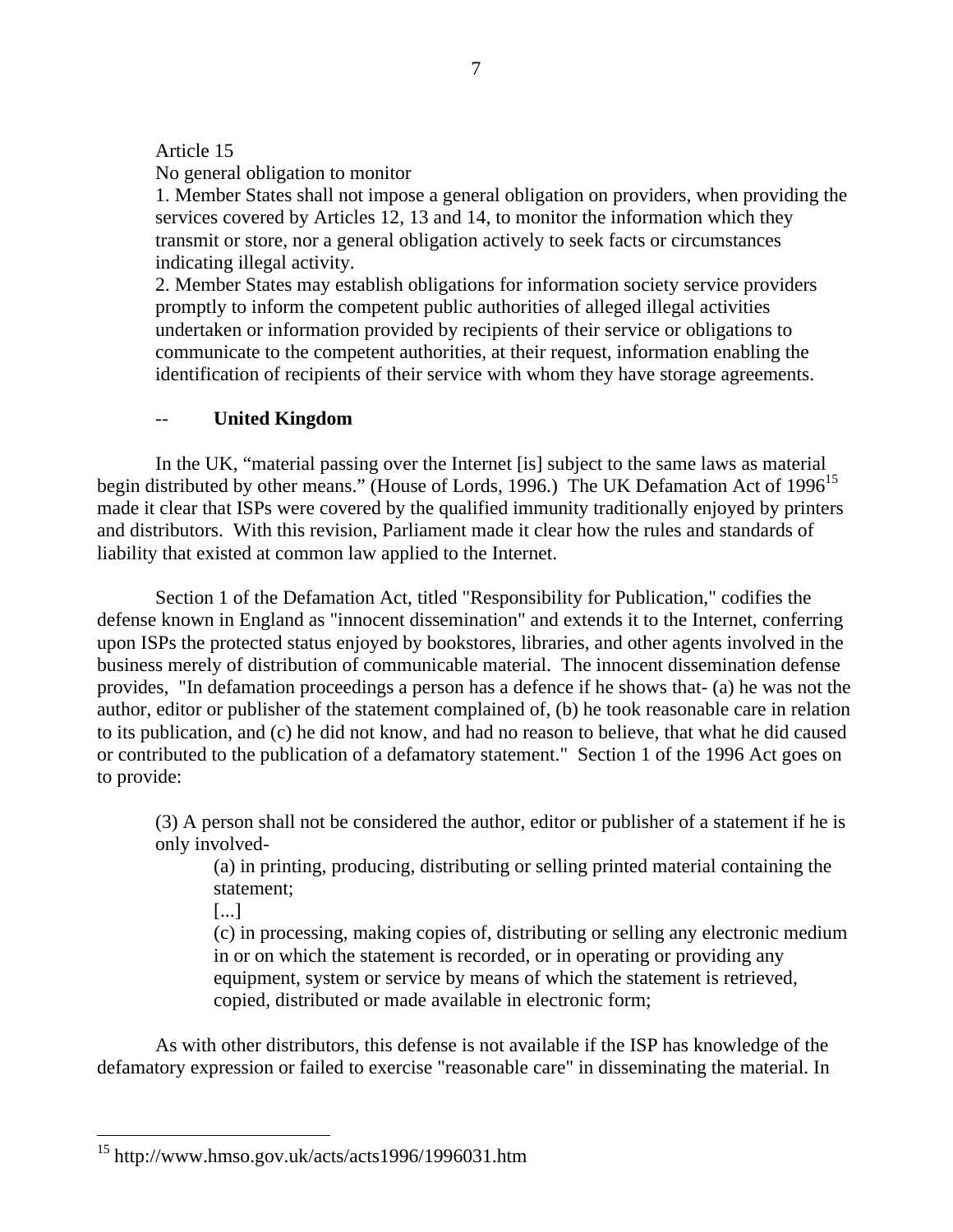## Article 15

No general obligation to monitor

1. Member States shall not impose a general obligation on providers, when providing the services covered by Articles 12, 13 and 14, to monitor the information which they transmit or store, nor a general obligation actively to seek facts or circumstances indicating illegal activity.

2. Member States may establish obligations for information society service providers promptly to inform the competent public authorities of alleged illegal activities undertaken or information provided by recipients of their service or obligations to communicate to the competent authorities, at their request, information enabling the identification of recipients of their service with whom they have storage agreements.

# -- **United Kingdom**

In the UK, "material passing over the Internet [is] subject to the same laws as material begin distributed by other means." (House of Lords, 1996.) The UK Defamation Act of 1996<sup>15</sup> made it clear that ISPs were covered by the qualified immunity traditionally enjoyed by printers and distributors. With this revision, Parliament made it clear how the rules and standards of liability that existed at common law applied to the Internet.

Section 1 of the Defamation Act, titled "Responsibility for Publication," codifies the defense known in England as "innocent dissemination" and extends it to the Internet, conferring upon ISPs the protected status enjoyed by bookstores, libraries, and other agents involved in the business merely of distribution of communicable material. The innocent dissemination defense provides, "In defamation proceedings a person has a defence if he shows that- (a) he was not the author, editor or publisher of the statement complained of, (b) he took reasonable care in relation to its publication, and (c) he did not know, and had no reason to believe, that what he did caused or contributed to the publication of a defamatory statement." Section 1 of the 1996 Act goes on to provide:

(3) A person shall not be considered the author, editor or publisher of a statement if he is only involved-

(a) in printing, producing, distributing or selling printed material containing the statement;

[...]

(c) in processing, making copies of, distributing or selling any electronic medium in or on which the statement is recorded, or in operating or providing any equipment, system or service by means of which the statement is retrieved, copied, distributed or made available in electronic form;

As with other distributors, this defense is not available if the ISP has knowledge of the defamatory expression or failed to exercise "reasonable care" in disseminating the material. In

<sup>&</sup>lt;sup>15</sup> http://www.hmso.gov.uk/acts/acts1996/1996031.htm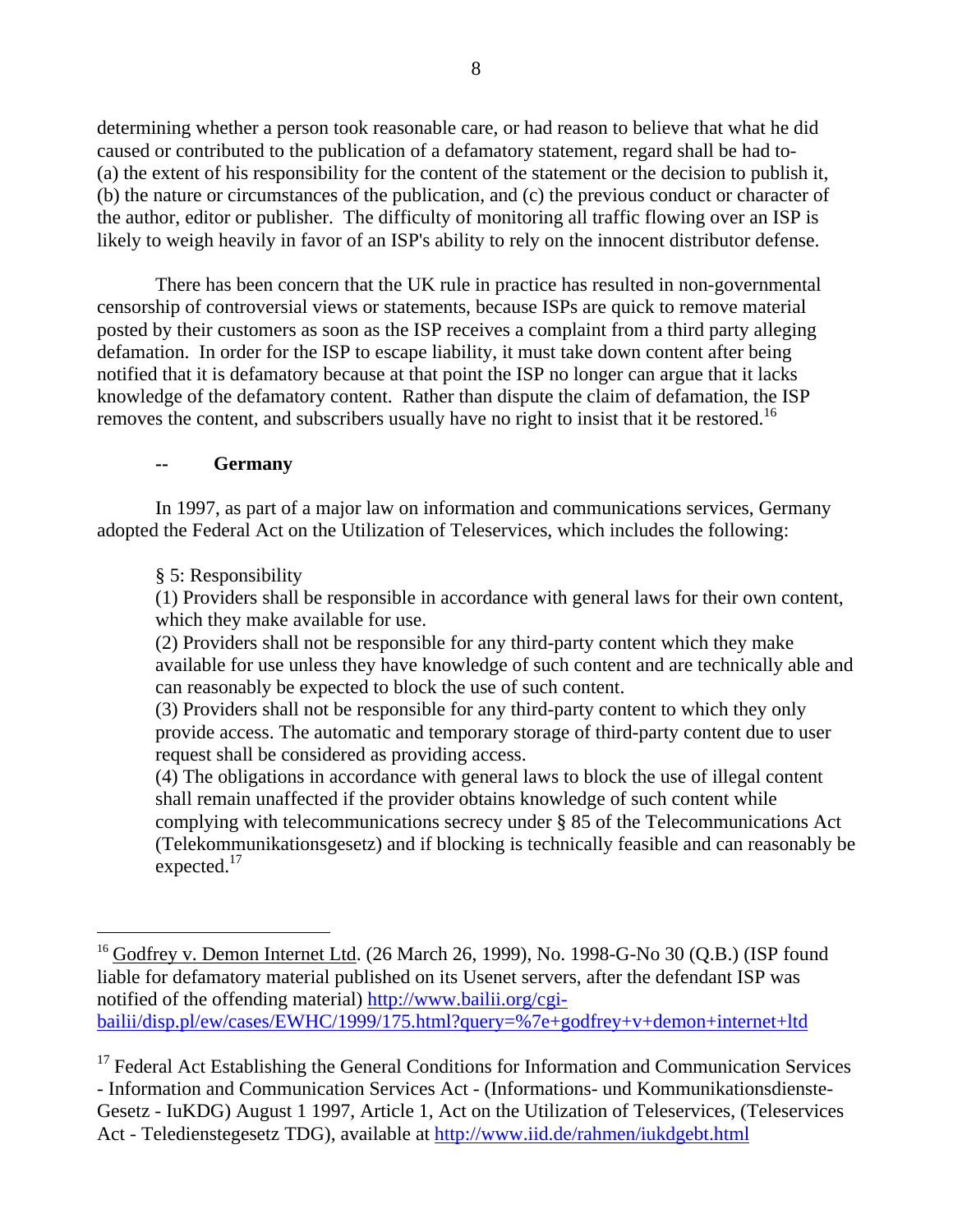determining whether a person took reasonable care, or had reason to believe that what he did caused or contributed to the publication of a defamatory statement, regard shall be had to- (a) the extent of his responsibility for the content of the statement or the decision to publish it, (b) the nature or circumstances of the publication, and (c) the previous conduct or character of the author, editor or publisher. The difficulty of monitoring all traffic flowing over an ISP is likely to weigh heavily in favor of an ISP's ability to rely on the innocent distributor defense.

There has been concern that the UK rule in practice has resulted in non-governmental censorship of controversial views or statements, because ISPs are quick to remove material posted by their customers as soon as the ISP receives a complaint from a third party alleging defamation. In order for the ISP to escape liability, it must take down content after being notified that it is defamatory because at that point the ISP no longer can argue that it lacks knowledge of the defamatory content. Rather than dispute the claim of defamation, the ISP removes the content, and subscribers usually have no right to insist that it be restored.<sup>16</sup>

#### **-- Germany**

In 1997, as part of a major law on information and communications services, Germany adopted the Federal Act on the Utilization of Teleservices, which includes the following:

#### § 5: Responsibility

 $\overline{a}$ 

(1) Providers shall be responsible in accordance with general laws for their own content, which they make available for use.

(2) Providers shall not be responsible for any third-party content which they make available for use unless they have knowledge of such content and are technically able and can reasonably be expected to block the use of such content.

(3) Providers shall not be responsible for any third-party content to which they only provide access. The automatic and temporary storage of third-party content due to user request shall be considered as providing access.

(4) The obligations in accordance with general laws to block the use of illegal content shall remain unaffected if the provider obtains knowledge of such content while complying with telecommunications secrecy under § 85 of the Telecommunications Act (Telekommunikationsgesetz) and if blocking is technically feasible and can reasonably be expected.<sup>17</sup>

 $^{16}$  Godfrey v. Demon Internet Ltd. (26 March 26, 1999), No. 1998-G-No 30 (Q.B.) (ISP found liable for defamatory material published on its Usenet servers, after the defendant ISP was notified of the offending material) http://www.bailii.org/cgibailii/disp.pl/ew/cases/EWHC/1999/175.html?query=%7e+godfrey+v+demon+internet+ltd

 $17$  Federal Act Establishing the General Conditions for Information and Communication Services - Information and Communication Services Act - (Informations- und Kommunikationsdienste-Gesetz - IuKDG) August 1 1997, Article 1, Act on the Utilization of Teleservices, (Teleservices Act - Teledienstegesetz TDG), available at http://www.iid.de/rahmen/iukdgebt.html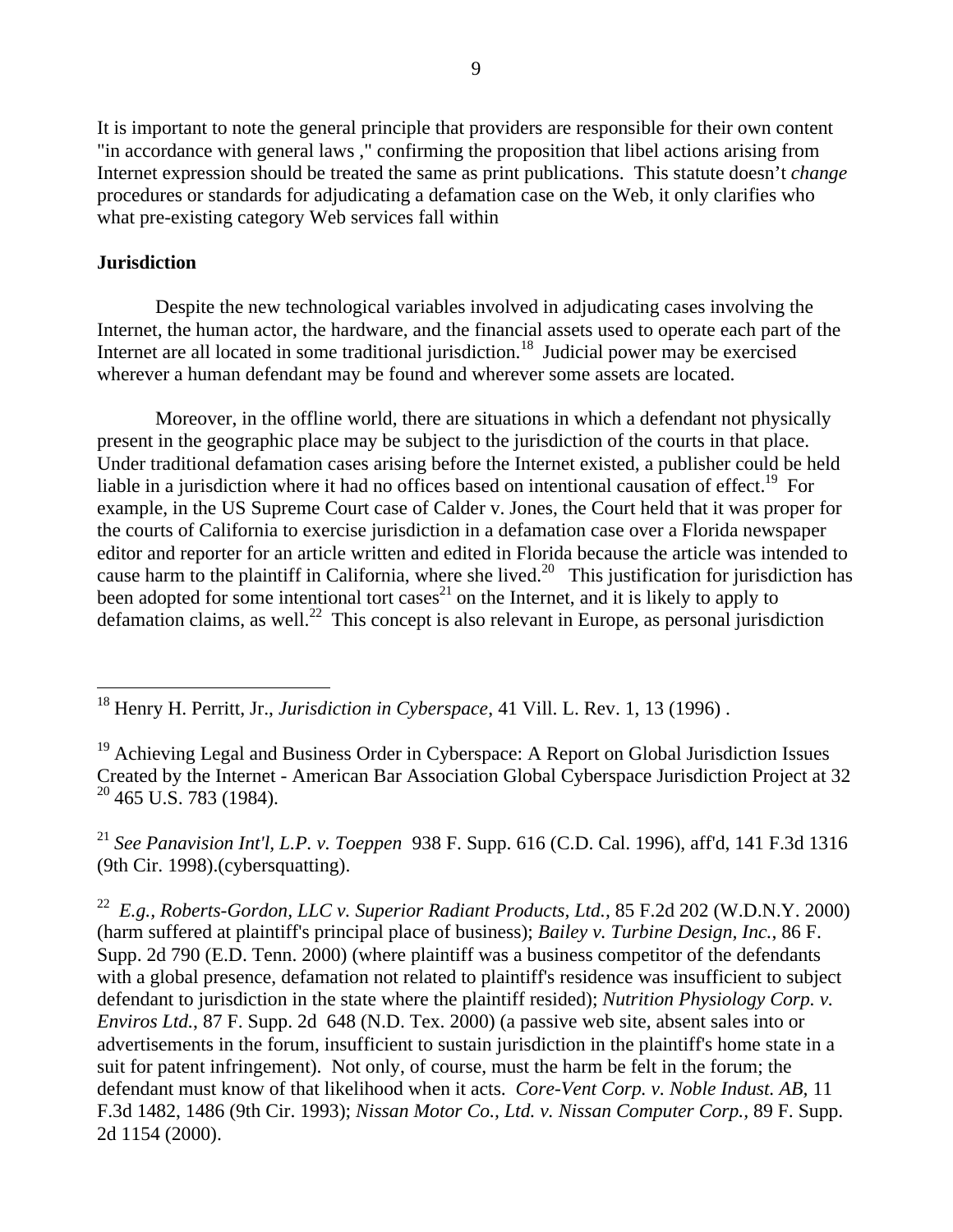It is important to note the general principle that providers are responsible for their own content "in accordance with general laws ," confirming the proposition that libel actions arising from Internet expression should be treated the same as print publications. This statute doesn't *change* procedures or standards for adjudicating a defamation case on the Web, it only clarifies who what pre-existing category Web services fall within

### **Jurisdiction**

 $\overline{a}$ 

Despite the new technological variables involved in adjudicating cases involving the Internet, the human actor, the hardware, and the financial assets used to operate each part of the Internet are all located in some traditional jurisdiction.<sup>18</sup> Judicial power may be exercised wherever a human defendant may be found and wherever some assets are located.

Moreover, in the offline world, there are situations in which a defendant not physically present in the geographic place may be subject to the jurisdiction of the courts in that place. Under traditional defamation cases arising before the Internet existed, a publisher could be held liable in a jurisdiction where it had no offices based on intentional causation of effect.<sup>19</sup> For example, in the US Supreme Court case of Calder v. Jones, the Court held that it was proper for the courts of California to exercise jurisdiction in a defamation case over a Florida newspaper editor and reporter for an article written and edited in Florida because the article was intended to cause harm to the plaintiff in California, where she lived.<sup>20</sup> This justification for jurisdiction has been adopted for some intentional tort cases<sup>21</sup> on the Internet, and it is likely to apply to defamation claims, as well.<sup>22</sup> This concept is also relevant in Europe, as personal jurisdiction

<sup>21</sup> *See Panavision Int'l, L.P. v. Toeppen* 938 F. Supp. 616 (C.D. Cal. 1996), aff'd, 141 F.3d 1316 (9th Cir. 1998).(cybersquatting).

22 *E.g., Roberts-Gordon, LLC v. Superior Radiant Products, Ltd.,* 85 F.2d 202 (W.D.N.Y. 2000) (harm suffered at plaintiff's principal place of business); *Bailey v. Turbine Design, Inc.*, 86 F. Supp. 2d 790 (E.D. Tenn. 2000) (where plaintiff was a business competitor of the defendants with a global presence, defamation not related to plaintiff's residence was insufficient to subject defendant to jurisdiction in the state where the plaintiff resided); *Nutrition Physiology Corp. v. Enviros Ltd.*, 87 F. Supp. 2d 648 (N.D. Tex. 2000) (a passive web site, absent sales into or advertisements in the forum, insufficient to sustain jurisdiction in the plaintiff's home state in a suit for patent infringement). Not only, of course, must the harm be felt in the forum; the defendant must know of that likelihood when it acts. *Core-Vent Corp. v. Noble Indust. AB,* 11 F.3d 1482, 1486 (9th Cir. 1993); *Nissan Motor Co., Ltd. v. Nissan Computer Corp.,* 89 F. Supp. 2d 1154 (2000).

<sup>18</sup> Henry H. Perritt, Jr., *Jurisdiction in Cyberspace*, 41 Vill. L. Rev. 1, 13 (1996) .

 $19$  Achieving Legal and Business Order in Cyberspace: A Report on Global Jurisdiction Issues Created by the Internet - American Bar Association Global Cyberspace Jurisdiction Project at 32  $20$  465 U.S. 783 (1984).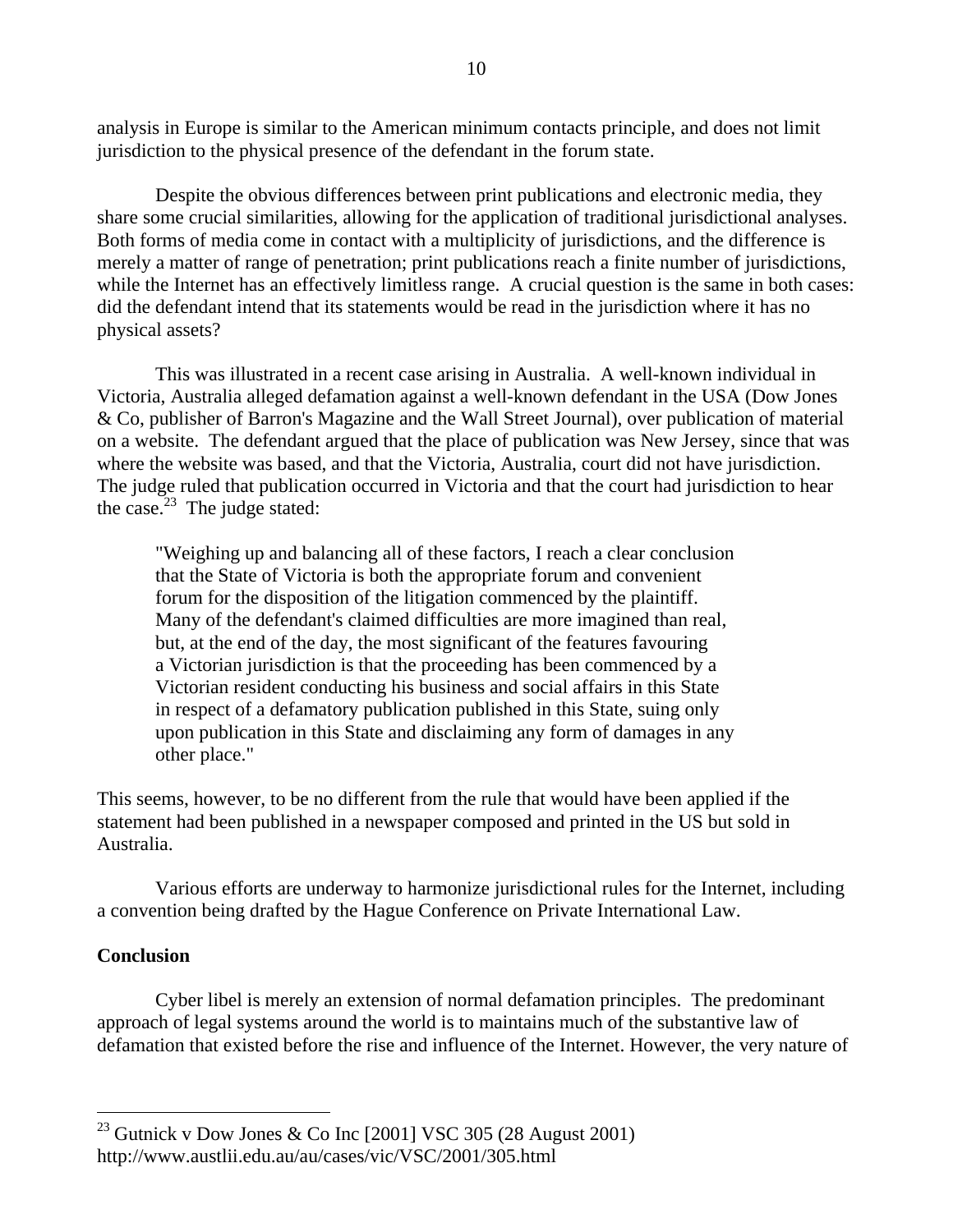analysis in Europe is similar to the American minimum contacts principle, and does not limit jurisdiction to the physical presence of the defendant in the forum state.

Despite the obvious differences between print publications and electronic media, they share some crucial similarities, allowing for the application of traditional jurisdictional analyses. Both forms of media come in contact with a multiplicity of jurisdictions, and the difference is merely a matter of range of penetration; print publications reach a finite number of jurisdictions, while the Internet has an effectively limitless range. A crucial question is the same in both cases: did the defendant intend that its statements would be read in the jurisdiction where it has no physical assets?

This was illustrated in a recent case arising in Australia. A well-known individual in Victoria, Australia alleged defamation against a well-known defendant in the USA (Dow Jones & Co, publisher of Barron's Magazine and the Wall Street Journal), over publication of material on a website. The defendant argued that the place of publication was New Jersey, since that was where the website was based, and that the Victoria, Australia, court did not have jurisdiction. The judge ruled that publication occurred in Victoria and that the court had jurisdiction to hear the case. $23$  The judge stated:

"Weighing up and balancing all of these factors, I reach a clear conclusion that the State of Victoria is both the appropriate forum and convenient forum for the disposition of the litigation commenced by the plaintiff. Many of the defendant's claimed difficulties are more imagined than real, but, at the end of the day, the most significant of the features favouring a Victorian jurisdiction is that the proceeding has been commenced by a Victorian resident conducting his business and social affairs in this State in respect of a defamatory publication published in this State, suing only upon publication in this State and disclaiming any form of damages in any other place."

This seems, however, to be no different from the rule that would have been applied if the statement had been published in a newspaper composed and printed in the US but sold in Australia.

Various efforts are underway to harmonize jurisdictional rules for the Internet, including a convention being drafted by the Hague Conference on Private International Law.

### **Conclusion**

 $\overline{a}$ 

Cyber libel is merely an extension of normal defamation principles. The predominant approach of legal systems around the world is to maintains much of the substantive law of defamation that existed before the rise and influence of the Internet. However, the very nature of

 $^{23}$  Gutnick v Dow Jones & Co Inc [2001] VSC 305 (28 August 2001) http://www.austlii.edu.au/au/cases/vic/VSC/2001/305.html